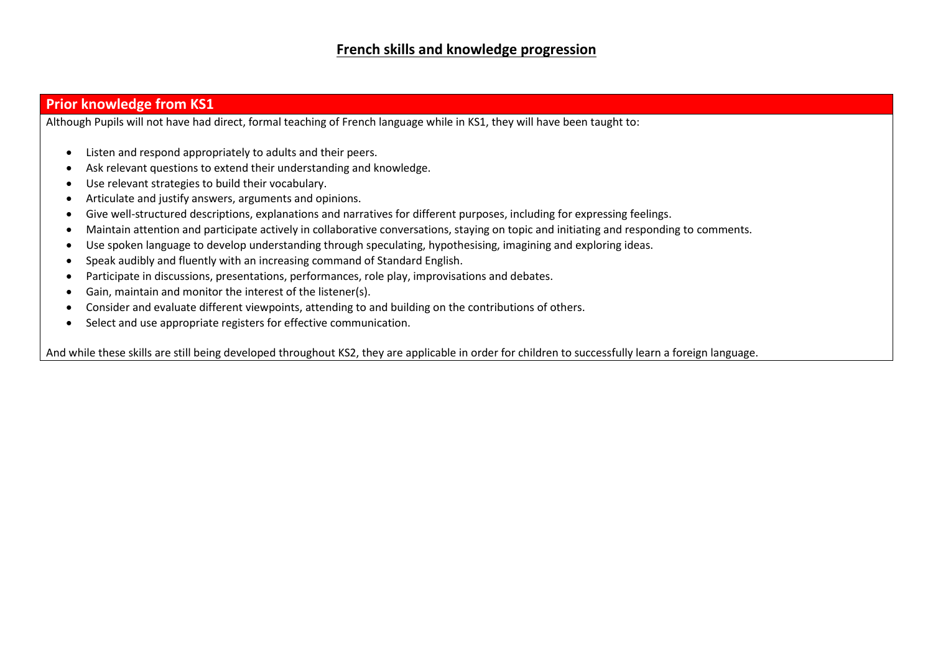## **Prior knowledge from KS1**

Although Pupils will not have had direct, formal teaching of French language while in KS1, they will have been taught to:

- Listen and respond appropriately to adults and their peers.
- Ask relevant questions to extend their understanding and knowledge.
- Use relevant strategies to build their vocabulary.
- Articulate and justify answers, arguments and opinions.
- Give well-structured descriptions, explanations and narratives for different purposes, including for expressing feelings.
- Maintain attention and participate actively in collaborative conversations, staying on topic and initiating and responding to comments.
- Use spoken language to develop understanding through speculating, hypothesising, imagining and exploring ideas.
- Speak audibly and fluently with an increasing command of Standard English.
- Participate in discussions, presentations, performances, role play, improvisations and debates.
- Gain, maintain and monitor the interest of the listener(s).
- Consider and evaluate different viewpoints, attending to and building on the contributions of others.
- Select and use appropriate registers for effective communication.

And while these skills are still being developed throughout KS2, they are applicable in order for children to successfully learn a foreign language.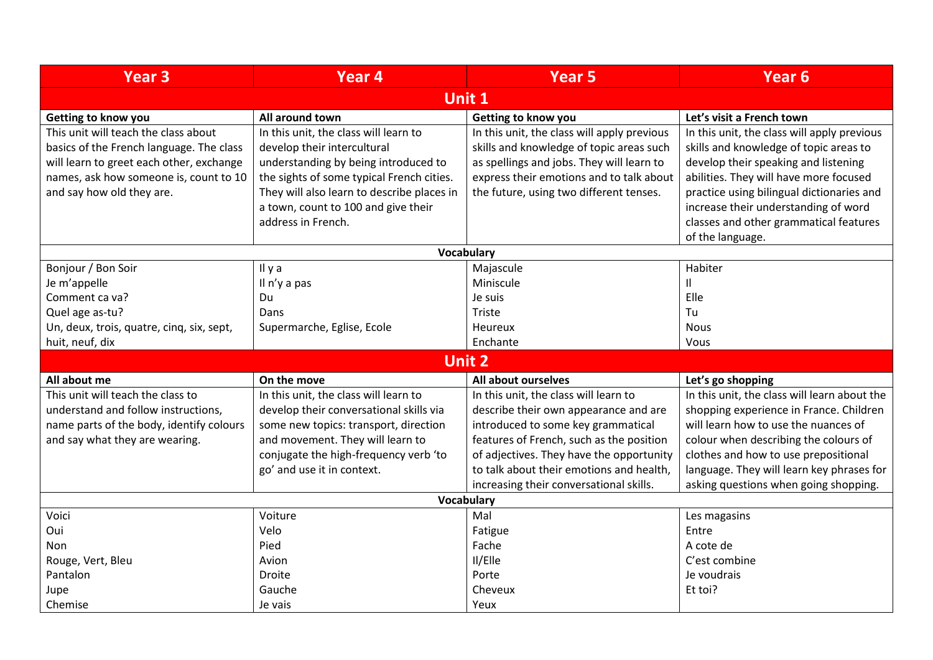| <b>Year 3</b>                             | Year <sub>4</sub>                          | <b>Year 5</b>                               | <b>Year 6</b>                                |  |  |  |
|-------------------------------------------|--------------------------------------------|---------------------------------------------|----------------------------------------------|--|--|--|
| <b>Unit 1</b>                             |                                            |                                             |                                              |  |  |  |
| Getting to know you                       | All around town                            | Getting to know you                         | Let's visit a French town                    |  |  |  |
| This unit will teach the class about      | In this unit, the class will learn to      | In this unit, the class will apply previous | In this unit, the class will apply previous  |  |  |  |
| basics of the French language. The class  | develop their intercultural                | skills and knowledge of topic areas such    | skills and knowledge of topic areas to       |  |  |  |
| will learn to greet each other, exchange  | understanding by being introduced to       | as spellings and jobs. They will learn to   | develop their speaking and listening         |  |  |  |
| names, ask how someone is, count to 10    | the sights of some typical French cities.  | express their emotions and to talk about    | abilities. They will have more focused       |  |  |  |
| and say how old they are.                 | They will also learn to describe places in | the future, using two different tenses.     | practice using bilingual dictionaries and    |  |  |  |
|                                           | a town, count to 100 and give their        |                                             | increase their understanding of word         |  |  |  |
|                                           | address in French.                         |                                             | classes and other grammatical features       |  |  |  |
|                                           |                                            |                                             | of the language.                             |  |  |  |
| Vocabulary                                |                                            |                                             |                                              |  |  |  |
| Bonjour / Bon Soir                        | Il y a                                     | Majascule                                   | Habiter                                      |  |  |  |
| Je m'appelle                              | Il n'y a pas                               | Miniscule                                   | 11                                           |  |  |  |
| Comment ca va?                            | Du                                         | Je suis                                     | Elle                                         |  |  |  |
| Quel age as-tu?                           | Dans                                       | Triste                                      | Tu                                           |  |  |  |
| Un, deux, trois, quatre, cinq, six, sept, | Supermarche, Eglise, Ecole                 | <b>Heureux</b>                              | <b>Nous</b>                                  |  |  |  |
| huit, neuf, dix                           |                                            | Enchante                                    | Vous                                         |  |  |  |
| <b>Unit 2</b>                             |                                            |                                             |                                              |  |  |  |
| All about me                              | On the move                                | All about ourselves                         | Let's go shopping                            |  |  |  |
| This unit will teach the class to         | In this unit, the class will learn to      | In this unit, the class will learn to       | In this unit, the class will learn about the |  |  |  |
| understand and follow instructions,       | develop their conversational skills via    | describe their own appearance and are       | shopping experience in France. Children      |  |  |  |
| name parts of the body, identify colours  | some new topics: transport, direction      | introduced to some key grammatical          | will learn how to use the nuances of         |  |  |  |
| and say what they are wearing.            | and movement. They will learn to           | features of French, such as the position    | colour when describing the colours of        |  |  |  |
|                                           | conjugate the high-frequency verb 'to      | of adjectives. They have the opportunity    | clothes and how to use prepositional         |  |  |  |
|                                           | go' and use it in context.                 | to talk about their emotions and health.    | language. They will learn key phrases for    |  |  |  |
|                                           |                                            | increasing their conversational skills.     | asking questions when going shopping.        |  |  |  |
| Vocabulary                                |                                            |                                             |                                              |  |  |  |
| Voici                                     | Voiture                                    | Mal                                         | Les magasins                                 |  |  |  |
| Oui                                       | Velo                                       | Fatigue                                     | Entre                                        |  |  |  |
| <b>Non</b>                                | Pied                                       | Fache                                       | A cote de                                    |  |  |  |
| Rouge, Vert, Bleu                         | Avion                                      | Il/Elle                                     | C'est combine                                |  |  |  |
| Pantalon                                  | Droite                                     | Porte                                       | Je voudrais                                  |  |  |  |
| Jupe                                      | Gauche                                     | Cheveux                                     | Et toi?                                      |  |  |  |
| Chemise                                   | Je vais                                    | Yeux                                        |                                              |  |  |  |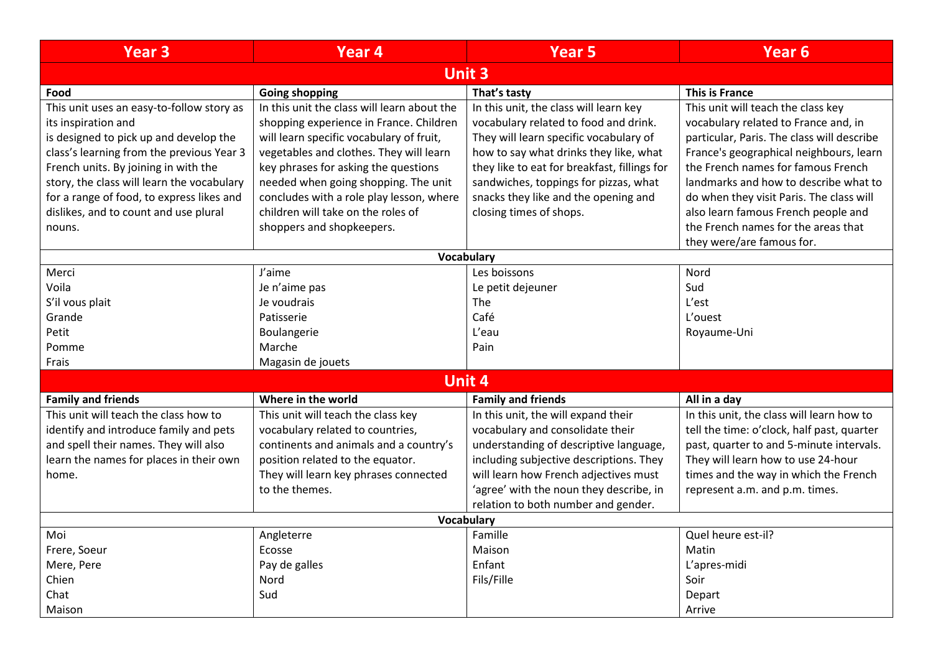| <b>Year 3</b>                              | Year <sub>4</sub>                           | <b>Year 5</b>                                | Year <sub>6</sub>                          |  |  |
|--------------------------------------------|---------------------------------------------|----------------------------------------------|--------------------------------------------|--|--|
| <b>Unit 3</b>                              |                                             |                                              |                                            |  |  |
| Food                                       | <b>Going shopping</b>                       | That's tasty                                 | <b>This is France</b>                      |  |  |
| This unit uses an easy-to-follow story as  | In this unit the class will learn about the | In this unit, the class will learn key       | This unit will teach the class key         |  |  |
| its inspiration and                        | shopping experience in France. Children     | vocabulary related to food and drink.        | vocabulary related to France and, in       |  |  |
| is designed to pick up and develop the     | will learn specific vocabulary of fruit,    | They will learn specific vocabulary of       | particular, Paris. The class will describe |  |  |
| class's learning from the previous Year 3  | vegetables and clothes. They will learn     | how to say what drinks they like, what       | France's geographical neighbours, learn    |  |  |
| French units. By joining in with the       | key phrases for asking the questions        | they like to eat for breakfast, fillings for | the French names for famous French         |  |  |
| story, the class will learn the vocabulary | needed when going shopping. The unit        | sandwiches, toppings for pizzas, what        | landmarks and how to describe what to      |  |  |
| for a range of food, to express likes and  | concludes with a role play lesson, where    | snacks they like and the opening and         | do when they visit Paris. The class will   |  |  |
| dislikes, and to count and use plural      | children will take on the roles of          | closing times of shops.                      | also learn famous French people and        |  |  |
| nouns.                                     | shoppers and shopkeepers.                   |                                              | the French names for the areas that        |  |  |
|                                            |                                             |                                              | they were/are famous for.                  |  |  |
| Vocabulary                                 |                                             |                                              |                                            |  |  |
| Merci                                      | J'aime                                      | Les boissons                                 | Nord                                       |  |  |
| Voila                                      | Je n'aime pas                               | Le petit dejeuner                            | Sud                                        |  |  |
| S'il vous plait                            | Je voudrais                                 | The                                          | L'est                                      |  |  |
| Grande                                     | Patisserie                                  | Café                                         | L'ouest                                    |  |  |
| Petit                                      | Boulangerie                                 | L'eau                                        | Royaume-Uni                                |  |  |
| Pomme                                      | Marche                                      | Pain                                         |                                            |  |  |
| Frais                                      | Magasin de jouets                           |                                              |                                            |  |  |
| <b>Unit 4</b>                              |                                             |                                              |                                            |  |  |
| <b>Family and friends</b>                  | Where in the world                          | <b>Family and friends</b>                    | All in a day                               |  |  |
| This unit will teach the class how to      | This unit will teach the class key          | In this unit, the will expand their          | In this unit, the class will learn how to  |  |  |
| identify and introduce family and pets     | vocabulary related to countries,            | vocabulary and consolidate their             | tell the time: o'clock, half past, quarter |  |  |
| and spell their names. They will also      | continents and animals and a country's      | understanding of descriptive language,       | past, quarter to and 5-minute intervals.   |  |  |
| learn the names for places in their own    | position related to the equator.            | including subjective descriptions. They      | They will learn how to use 24-hour         |  |  |
| home.                                      | They will learn key phrases connected       | will learn how French adjectives must        | times and the way in which the French      |  |  |
|                                            | to the themes.                              | 'agree' with the noun they describe, in      | represent a.m. and p.m. times.             |  |  |
|                                            |                                             | relation to both number and gender.          |                                            |  |  |
| Vocabulary                                 |                                             |                                              |                                            |  |  |
| Moi                                        | Angleterre                                  | Famille                                      | Quel heure est-il?                         |  |  |
| Frere, Soeur                               | Ecosse                                      | Maison                                       | Matin                                      |  |  |
| Mere, Pere                                 | Pay de galles                               | Enfant                                       | L'apres-midi                               |  |  |
| Chien                                      | Nord                                        | Fils/Fille                                   | Soir                                       |  |  |
| Chat                                       | Sud                                         |                                              | Depart                                     |  |  |
| Maison                                     |                                             |                                              | Arrive                                     |  |  |